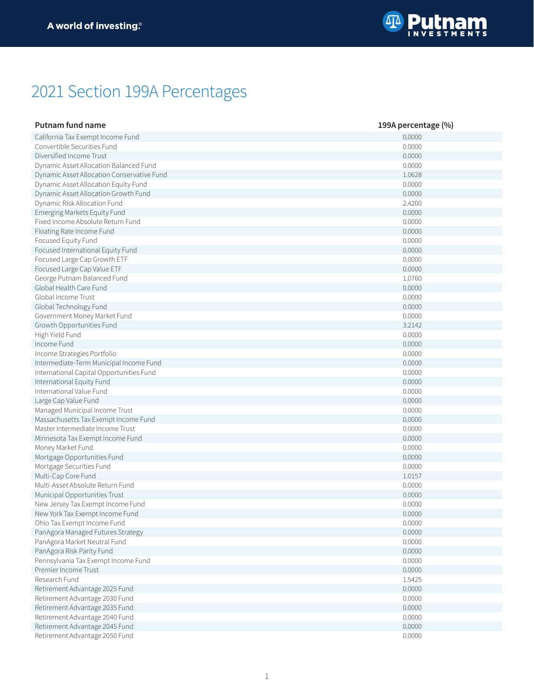

## 2021 Section 199A Percentages

| <b>Putnam fund name</b>                    | 199A percentage (%) |
|--------------------------------------------|---------------------|
| California Tax Exempt Income Fund          | 0.0000              |
| Convertible Securities Fund                | 0.0000              |
| Diversified Income Trust                   | 0.0000              |
| Dynamic Asset Allocation Balanced Fund     | 0.0000              |
| Dynamic Asset Allocation Conservative Fund | 1.0628              |
| Dynamic Asset Allocation Equity Fund       | 0.0000              |
| Dynamic Asset Allocation Growth Fund       | 0.0000              |
| Dynamic Risk Allocation Fund               | 2.4200              |
| Emerging Markets Equity Fund               | 0.0000              |
| Fixed Income Absolute Return Fund          | 0.0000              |
| Floating Rate Income Fund                  | 0.0000              |
| Focused Equity Fund                        | 0.0000              |
| Focused International Equity Fund          | 0.0000              |
| Focused Large Cap Growth ETF               | 0.0000              |
| Focused Large Cap Value ETF                | 0.0000              |
| George Putnam Balanced Fund                | 1.0760              |
| Global Health Care Fund                    | 0.0000              |
| Global Income Trust                        | 0.0000              |
| Global Technology Fund                     | 0.0000              |
| Government Money Market Fund               | 0.0000              |
| Growth Opportunities Fund                  | 3.2142              |
| High Yield Fund                            | 0.0000              |
| Income Fund                                | 0.0000              |
| Income Strategies Portfolio                | 0.0000              |
| Intermediate-Term Municipal Income Fund    | 0.0000              |
| International Capital Opportunities Fund   | 0.0000              |
| International Equity Fund                  | 0.0000              |
| International Value Fund                   | 0.0000              |
| Large Cap Value Fund                       | 0.0000              |
| Managed Municipal Income Trust             | 0.0000              |
| Massachusetts Tax Exempt Income Fund       | 0.0000              |
| Master Intermediate Income Trust           | 0.0000              |
| Minnesota Tax Exempt Income Fund           | 0.0000              |
| Money Market Fund                          | 0.0000              |
| Mortgage Opportunities Fund                | 0.0000              |
| Mortgage Securities Fund                   | 0.0000              |
| Multi-Cap Core Fund                        | 1.0157              |
| Multi-Asset Absolute Return Fund           | 0.0000              |
| Municipal Opportunities Trust              | 0.0000              |
| New Jersey Tax Exempt Income Fund          | 0.0000              |
| New York Tax Exempt Income Fund            | 0.0000              |
| Ohio Tax Exempt Income Fund                | 0.0000              |
| PanAgora Managed Futures Strategy          | 0.0000              |
| PanAgora Market Neutral Fund               | 0.0000              |
| PanAgora Risk Parity Fund                  | 0.0000              |
| Pennsylvania Tax Exempt Income Fund        | 0.0000              |
| Premier Income Trust                       | 0.0000              |
| Research Fund                              | 1.5425              |
| Retirement Advantage 2025 Fund             | 0.0000              |
| Retirement Advantage 2030 Fund             | 0.0000              |
| Retirement Advantage 2035 Fund             | 0.0000              |
| Retirement Advantage 2040 Fund             | 0.0000              |
| Retirement Advantage 2045 Fund             | 0.0000              |
| Retirement Advantage 2050 Fund             | 0.0000              |
|                                            |                     |